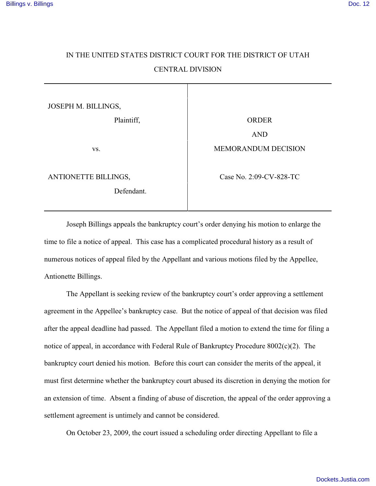## IN THE UNITED STATES DISTRICT COURT FOR THE DISTRICT OF UTAH CENTRAL DIVISION

| JOSEPH M. BILLINGS,                |                         |
|------------------------------------|-------------------------|
| Plaintiff,                         | <b>ORDER</b>            |
|                                    | <b>AND</b>              |
| VS.                                | MEMORANDUM DECISION     |
| ANTIONETTE BILLINGS,<br>Defendant. | Case No. 2:09-CV-828-TC |

Joseph Billings appeals the bankruptcy court's order denying his motion to enlarge the time to file a notice of appeal. This case has a complicated procedural history as a result of numerous notices of appeal filed by the Appellant and various motions filed by the Appellee, Antionette Billings.

The Appellant is seeking review of the bankruptcy court's order approving a settlement agreement in the Appellee's bankruptcy case. But the notice of appeal of that decision was filed after the appeal deadline had passed. The Appellant filed a motion to extend the time for filing a notice of appeal, in accordance with Federal Rule of Bankruptcy Procedure 8002(c)(2). The bankruptcy court denied his motion. Before this court can consider the merits of the appeal, it must first determine whether the bankruptcy court abused its discretion in denying the motion for an extension of time. Absent a finding of abuse of discretion, the appeal of the order approving a settlement agreement is untimely and cannot be considered.

On October 23, 2009, the court issued a scheduling order directing Appellant to file a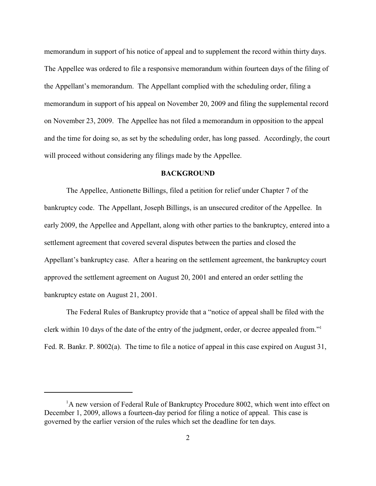memorandum in support of his notice of appeal and to supplement the record within thirty days. The Appellee was ordered to file a responsive memorandum within fourteen days of the filing of the Appellant's memorandum. The Appellant complied with the scheduling order, filing a memorandum in support of his appeal on November 20, 2009 and filing the supplemental record on November 23, 2009. The Appellee has not filed a memorandum in opposition to the appeal and the time for doing so, as set by the scheduling order, has long passed. Accordingly, the court will proceed without considering any filings made by the Appellee.

## **BACKGROUND**

The Appellee, Antionette Billings, filed a petition for relief under Chapter 7 of the bankruptcy code. The Appellant, Joseph Billings, is an unsecured creditor of the Appellee. In early 2009, the Appellee and Appellant, along with other parties to the bankruptcy, entered into a settlement agreement that covered several disputes between the parties and closed the Appellant's bankruptcy case. After a hearing on the settlement agreement, the bankruptcy court approved the settlement agreement on August 20, 2001 and entered an order settling the bankruptcy estate on August 21, 2001.

The Federal Rules of Bankruptcy provide that a "notice of appeal shall be filed with the clerk within 10 days of the date of the entry of the judgment, order, or decree appealed from."<sup>1</sup> Fed. R. Bankr. P. 8002(a). The time to file a notice of appeal in this case expired on August 31,

 ${}^{1}$ A new version of Federal Rule of Bankruptcy Procedure 8002, which went into effect on December 1, 2009, allows a fourteen-day period for filing a notice of appeal. This case is governed by the earlier version of the rules which set the deadline for ten days.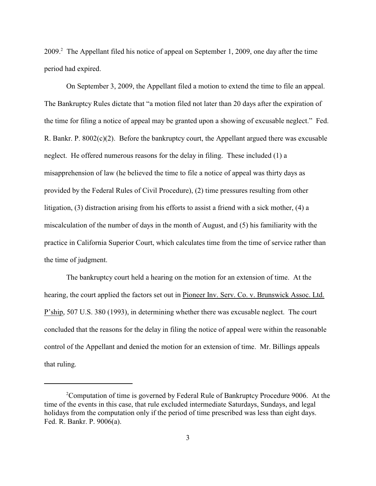2009.<sup>2</sup> The Appellant filed his notice of appeal on September 1, 2009, one day after the time period had expired.

On September 3, 2009, the Appellant filed a motion to extend the time to file an appeal. The Bankruptcy Rules dictate that "a motion filed not later than 20 days after the expiration of the time for filing a notice of appeal may be granted upon a showing of excusable neglect." Fed. R. Bankr. P. 8002(c)(2). Before the bankruptcy court, the Appellant argued there was excusable neglect. He offered numerous reasons for the delay in filing. These included (1) a misapprehension of law (he believed the time to file a notice of appeal was thirty days as provided by the Federal Rules of Civil Procedure), (2) time pressures resulting from other litigation, (3) distraction arising from his efforts to assist a friend with a sick mother, (4) a miscalculation of the number of days in the month of August, and (5) his familiarity with the practice in California Superior Court, which calculates time from the time of service rather than the time of judgment.

The bankruptcy court held a hearing on the motion for an extension of time. At the hearing, the court applied the factors set out in Pioneer Inv. Serv. Co. v. Brunswick Assoc. Ltd. P'ship, 507 U.S. 380 (1993), in determining whether there was excusable neglect. The court concluded that the reasons for the delay in filing the notice of appeal were within the reasonable control of the Appellant and denied the motion for an extension of time. Mr. Billings appeals that ruling.

<sup>&</sup>lt;sup>2</sup>Computation of time is governed by Federal Rule of Bankruptcy Procedure 9006. At the time of the events in this case, that rule excluded intermediate Saturdays, Sundays, and legal holidays from the computation only if the period of time prescribed was less than eight days. Fed. R. Bankr. P. 9006(a).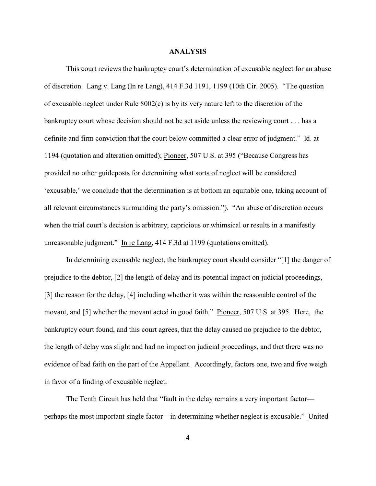## **ANALYSIS**

This court reviews the bankruptcy court's determination of excusable neglect for an abuse of discretion. Lang v. Lang (In re Lang), 414 F.3d 1191, 1199 (10th Cir. 2005). "The question of excusable neglect under Rule 8002(c) is by its very nature left to the discretion of the bankruptcy court whose decision should not be set aside unless the reviewing court . . . has a definite and firm conviction that the court below committed a clear error of judgment." Id. at 1194 (quotation and alteration omitted); Pioneer, 507 U.S. at 395 ("Because Congress has provided no other guideposts for determining what sorts of neglect will be considered 'excusable,' we conclude that the determination is at bottom an equitable one, taking account of all relevant circumstances surrounding the party's omission."). "An abuse of discretion occurs when the trial court's decision is arbitrary, capricious or whimsical or results in a manifestly unreasonable judgment." In re Lang, 414 F.3d at 1199 (quotations omitted).

In determining excusable neglect, the bankruptcy court should consider "[1] the danger of prejudice to the debtor, [2] the length of delay and its potential impact on judicial proceedings, [3] the reason for the delay, [4] including whether it was within the reasonable control of the movant, and [5] whether the movant acted in good faith." Pioneer, 507 U.S. at 395. Here, the bankruptcy court found, and this court agrees, that the delay caused no prejudice to the debtor, the length of delay was slight and had no impact on judicial proceedings, and that there was no evidence of bad faith on the part of the Appellant. Accordingly, factors one, two and five weigh in favor of a finding of excusable neglect.

The Tenth Circuit has held that "fault in the delay remains a very important factor perhaps the most important single factor—in determining whether neglect is excusable." United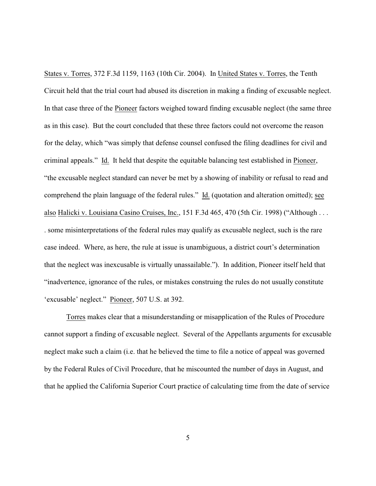States v. Torres, 372 F.3d 1159, 1163 (10th Cir. 2004). In United States v. Torres, the Tenth Circuit held that the trial court had abused its discretion in making a finding of excusable neglect. In that case three of the Pioneer factors weighed toward finding excusable neglect (the same three as in this case). But the court concluded that these three factors could not overcome the reason for the delay, which "was simply that defense counsel confused the filing deadlines for civil and criminal appeals." Id. It held that despite the equitable balancing test established in Pioneer, "the excusable neglect standard can never be met by a showing of inability or refusal to read and comprehend the plain language of the federal rules." Id. (quotation and alteration omitted); see also Halicki v. Louisiana Casino Cruises, Inc., 151 F.3d 465, 470 (5th Cir. 1998) ("Although . . . . some misinterpretations of the federal rules may qualify as excusable neglect, such is the rare case indeed. Where, as here, the rule at issue is unambiguous, a district court's determination that the neglect was inexcusable is virtually unassailable."). In addition, Pioneer itself held that "inadvertence, ignorance of the rules, or mistakes construing the rules do not usually constitute 'excusable' neglect." Pioneer, 507 U.S. at 392.

Torres makes clear that a misunderstanding or misapplication of the Rules of Procedure cannot support a finding of excusable neglect. Several of the Appellants arguments for excusable neglect make such a claim (i.e. that he believed the time to file a notice of appeal was governed by the Federal Rules of Civil Procedure, that he miscounted the number of days in August, and that he applied the California Superior Court practice of calculating time from the date of service

5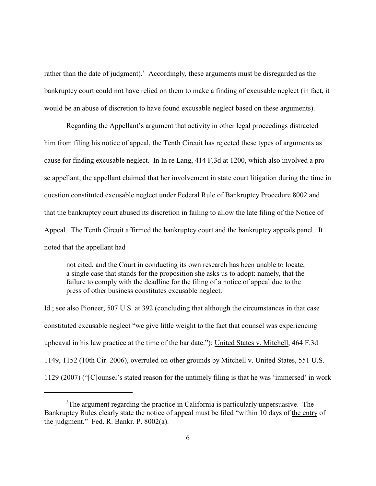rather than the date of judgment).<sup>3</sup> Accordingly, these arguments must be disregarded as the bankruptcy court could not have relied on them to make a finding of excusable neglect (in fact, it would be an abuse of discretion to have found excusable neglect based on these arguments).

Regarding the Appellant's argument that activity in other legal proceedings distracted him from filing his notice of appeal, the Tenth Circuit has rejected these types of arguments as cause for finding excusable neglect. In In re Lang, 414 F.3d at 1200, which also involved a pro se appellant, the appellant claimed that her involvement in state court litigation during the time in question constituted excusable neglect under Federal Rule of Bankruptcy Procedure 8002 and that the bankruptcy court abused its discretion in failing to allow the late filing of the Notice of Appeal. The Tenth Circuit affirmed the bankruptcy court and the bankruptcy appeals panel. It noted that the appellant had

not cited, and the Court in conducting its own research has been unable to locate, a single case that stands for the proposition she asks us to adopt: namely, that the failure to comply with the deadline for the filing of a notice of appeal due to the press of other business constitutes excusable neglect.

Id.; see also Pioneer, 507 U.S. at 392 (concluding that although the circumstances in that case constituted excusable neglect "we give little weight to the fact that counsel was experiencing upheaval in his law practice at the time of the bar date."); United States v. Mitchell, 464 F.3d 1149, 1152 (10th Cir. 2006), overruled on other grounds by Mitchell v. United States, 551 U.S. 1129 (2007) ("[C]ounsel's stated reason for the untimely filing is that he was 'immersed' in work

<sup>&</sup>lt;sup>3</sup>The argument regarding the practice in California is particularly unpersuasive. The Bankruptcy Rules clearly state the notice of appeal must be filed "within 10 days of the entry of the judgment." Fed. R. Bankr. P. 8002(a).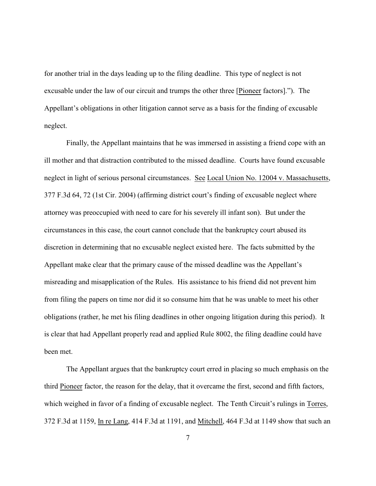for another trial in the days leading up to the filing deadline. This type of neglect is not excusable under the law of our circuit and trumps the other three [Pioneer factors]."). The Appellant's obligations in other litigation cannot serve as a basis for the finding of excusable neglect.

Finally, the Appellant maintains that he was immersed in assisting a friend cope with an ill mother and that distraction contributed to the missed deadline. Courts have found excusable neglect in light of serious personal circumstances. See Local Union No. 12004 v. Massachusetts, 377 F.3d 64, 72 (1st Cir. 2004) (affirming district court's finding of excusable neglect where attorney was preoccupied with need to care for his severely ill infant son). But under the circumstances in this case, the court cannot conclude that the bankruptcy court abused its discretion in determining that no excusable neglect existed here. The facts submitted by the Appellant make clear that the primary cause of the missed deadline was the Appellant's misreading and misapplication of the Rules. His assistance to his friend did not prevent him from filing the papers on time nor did it so consume him that he was unable to meet his other obligations (rather, he met his filing deadlines in other ongoing litigation during this period). It is clear that had Appellant properly read and applied Rule 8002, the filing deadline could have been met.

The Appellant argues that the bankruptcy court erred in placing so much emphasis on the third Pioneer factor, the reason for the delay, that it overcame the first, second and fifth factors, which weighed in favor of a finding of excusable neglect. The Tenth Circuit's rulings in Torres, 372 F.3d at 1159, In re Lang, 414 F.3d at 1191, and Mitchell, 464 F.3d at 1149 show that such an